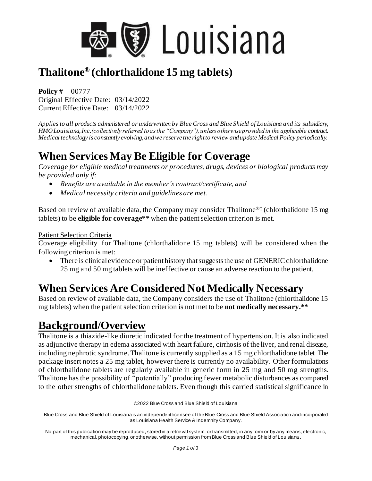

# **Thalitone® (chlorthalidone 15 mg tablets)**

**Policy #** 00777 Original Effective Date: 03/14/2022 Current Effective Date: 03/14/2022

*Applies to all products administered or underwritten by Blue Cross and Blue Shield of Louisiana and its subsidiary, HMO Louisiana, Inc.(collectively referred to as the "Company"), unless otherwise provided in the applicable contract. Medical technology is constantly evolving, and we reserve the right to review and update Medical Policy periodically.*

## **When Services May Be Eligible for Coverage**

*Coverage for eligible medical treatments or procedures, drugs, devices or biological products may be provided only if:*

- *Benefits are available in the member's contract/certificate, and*
- *Medical necessity criteria and guidelines are met.*

Based on review of available data, the Company may consider Thalitone<sup>®‡</sup> (chlorthalidone 15 mg tablets) to be **eligible for coverage\*\*** when the patient selection criterion is met.

#### Patient Selection Criteria

Coverage eligibility for Thalitone (chlorthalidone 15 mg tablets) will be considered when the following criterion is met:

• There is clinical evidence or patient history that suggests the use of GENERIC chlorthalidone 25 mg and 50 mg tablets will be ineffective or cause an adverse reaction to the patient.

#### **When Services Are Considered Not Medically Necessary**

Based on review of available data, the Company considers the use of Thalitone (chlorthalidone 15 mg tablets) when the patient selection criterion is not met to be **not medically necessary.\*\***

#### **Background/Overview**

Thalitone is a thiazide-like diuretic indicated for the treatment of hypertension. It is also indicated as adjunctive therapy in edema associated with heart failure, cirrhosis of the liver, and renal disease, including nephrotic syndrome.Thalitone is currently supplied as a 15 mg chlorthalidone tablet. The package insert notes a 25 mg tablet, however there is currently no availability. Other formulations of chlorthalidone tablets are regularly available in generic form in 25 mg and 50 mg strengths. Thalitone has the possibility of "potentially" producing fewer metabolic disturbances as compared to the other strengths of chlorthalidone tablets. Even though this carried statistical significance in

©2022 Blue Cross and Blue Shield of Louisiana

Blue Cross and Blue Shield of Louisiana is an independent licensee of the Blue Cross and Blue Shield Association and incorporated as Louisiana Health Service & Indemnity Company.

No part of this publication may be reproduced, stored in a retrieval system, or transmitted, in any form or by any means, ele ctronic, mechanical, photocopying, or otherwise, without permission from Blue Cross and Blue Shield of Louisiana **.**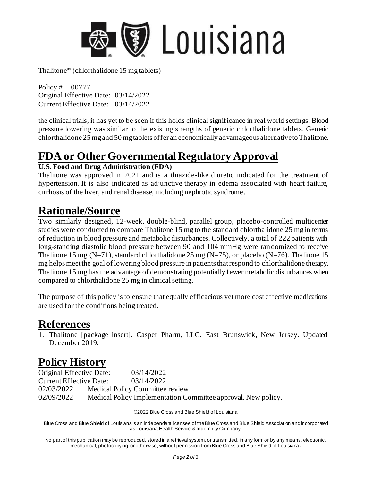

Thalitone® (chlorthalidone 15 mg tablets)

Policy # 00777 Original Effective Date: 03/14/2022 Current Effective Date: 03/14/2022

the clinical trials, it has yet to be seen if this holds clinical significance in real world settings. Blood pressure lowering was similar to the existing strengths of generic chlorthalidone tablets. Generic chlorthalidone 25 mg and 50 mg tablets offer an economically advantageous alternative to Thalitone.

## **FDA or Other Governmental Regulatory Approval**

#### **U.S. Food and Drug Administration (FDA)**

Thalitone was approved in 2021 and is a thiazide-like diuretic indicated for the treatment of hypertension. It is also indicated as adjunctive therapy in edema associated with heart failure, cirrhosis of the liver, and renal disease, including nephrotic syndrome.

#### **Rationale/Source**

Two similarly designed, 12-week, double-blind, parallel group, placebo-controlled multicenter studies were conducted to compare Thalitone 15 mg to the standard chlorthalidone 25 mg in terms of reduction in blood pressure and metabolic disturbances. Collectively, a total of 222 patients with long-standing diastolic blood pressure between 90 and 104 mmHg were randomized to receive Thalitone 15 mg (N=71), standard chlorthalidone 25 mg (N=75), or placebo (N=76). Thalitone 15 mg helps meet the goal of lowering blood pressure in patients that respond to chlorthalidone therapy. Thalitone 15 mg has the advantage of demonstrating potentially fewer metabolic disturbances when compared to chlorthalidone 25 mg in clinical setting.

The purpose of this policy is to ensure that equally efficacious yet more cost effective medications are used for the conditions being treated.

#### **References**

1. Thalitone [package insert]. Casper Pharm, LLC. East Brunswick, New Jersey. Updated December 2019.

## **Policy History**

| Original Effective Date:       | 03/14/2022                                                    |
|--------------------------------|---------------------------------------------------------------|
| <b>Current Effective Date:</b> | 03/14/2022                                                    |
| 02/03/2022                     | Medical Policy Committee review                               |
| 02/09/2022                     | Medical Policy Implementation Committee approval. New policy. |

©2022 Blue Cross and Blue Shield of Louisiana

Blue Cross and Blue Shield of Louisiana is an independent licensee of the Blue Cross and Blue Shield Association and incorporated as Louisiana Health Service & Indemnity Company.

No part of this publication may be reproduced, stored in a retrieval system, or transmitted, in any form or by any means, electronic, mechanical, photocopying, or otherwise, without permission from Blue Cross and Blue Shield of Louisiana **.**